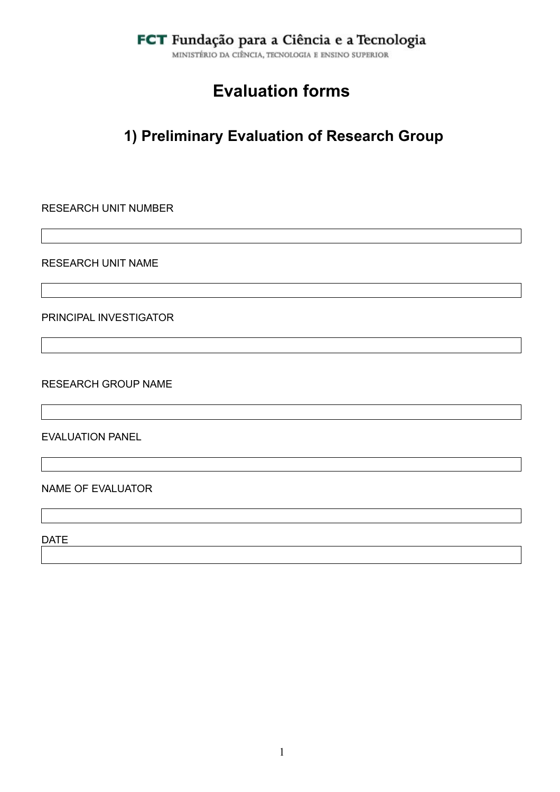MINISTÉRIO DA CIÊNCIA, TECNOLOGIA E ENSINO SUPERIOR

# **Evaluation forms**

# **1) Preliminary Evaluation of Research Group**

RESEARCH UNIT NUMBER

RESEARCH UNIT NAME

PRINCIPAL INVESTIGATOR

RESEARCH GROUP NAME

EVALUATION PANEL

#### NAME OF EVALUATOR

DATE **DATE**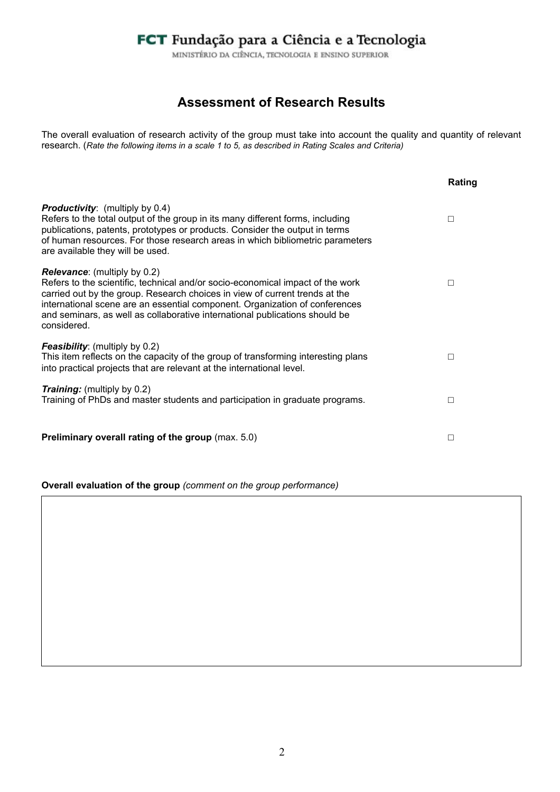MINISTÉRIO DA CIÊNCIA, TECNOLOGIA E ENSINO SUPERIOR

### **Assessment of Research Results**

The overall evaluation of research activity of the group must take into account the quality and quantity of relevant research. (*Rate the following items in a scale 1 to 5, as described in Rating Scales and Criteria)* 

|                                                                                                                                                                                                                                                                                                                                                                                   | Rating |
|-----------------------------------------------------------------------------------------------------------------------------------------------------------------------------------------------------------------------------------------------------------------------------------------------------------------------------------------------------------------------------------|--------|
| <b>Productivity:</b> (multiply by 0.4)<br>Refers to the total output of the group in its many different forms, including<br>publications, patents, prototypes or products. Consider the output in terms<br>of human resources. For those research areas in which bibliometric parameters<br>are available they will be used.                                                      | $\Box$ |
| <b>Relevance:</b> (multiply by 0.2)<br>Refers to the scientific, technical and/or socio-economical impact of the work<br>carried out by the group. Research choices in view of current trends at the<br>international scene are an essential component. Organization of conferences<br>and seminars, as well as collaborative international publications should be<br>considered. | П      |
| <b>Feasibility:</b> (multiply by 0.2)<br>This item reflects on the capacity of the group of transforming interesting plans<br>into practical projects that are relevant at the international level.                                                                                                                                                                               | П      |
| <b>Training:</b> (multiply by 0.2)<br>Training of PhDs and master students and participation in graduate programs.                                                                                                                                                                                                                                                                | П      |
| <b>Preliminary overall rating of the group (max. 5.0)</b>                                                                                                                                                                                                                                                                                                                         | П      |

**Overall evaluation of the group** *(comment on the group performance)*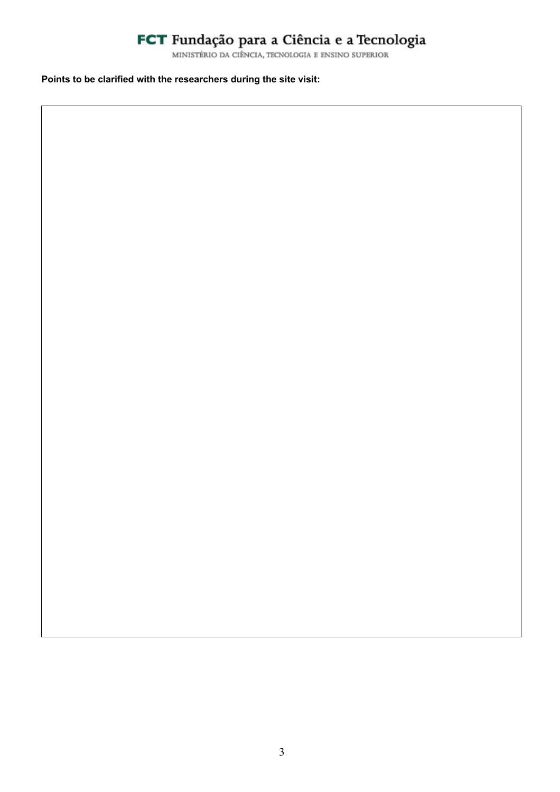#### **Points to be clarified with the researchers during the site visit:**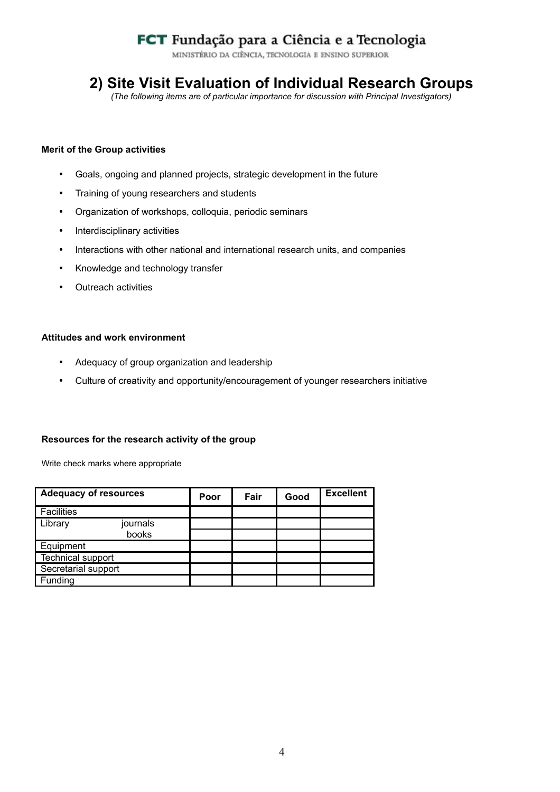MINISTÉRIO DA CIÊNCIA, TECNOLOGIA E ENSINO SUPERIOR

### **2) Site Visit Evaluation of Individual Research Groups**

*(The following items are of particular importance for discussion with Principal Investigators)*

#### **Merit of the Group activities**

- Goals, ongoing and planned projects, strategic development in the future
- Training of young researchers and students
- Organization of workshops, colloquia, periodic seminars
- Interdisciplinary activities
- Interactions with other national and international research units, and companies
- Knowledge and technology transfer
- Outreach activities

#### **Attitudes and work environment**

- Adequacy of group organization and leadership
- Culture of creativity and opportunity/encouragement of younger researchers initiative

#### **Resources for the research activity of the group**

Write check marks where appropriate

| <b>Adequacy of resources</b> | Poor | Fair | Good | <b>Excellent</b> |
|------------------------------|------|------|------|------------------|
| <b>Facilities</b>            |      |      |      |                  |
| Library<br>journals          |      |      |      |                  |
| books                        |      |      |      |                  |
| Equipment                    |      |      |      |                  |
| <b>Technical support</b>     |      |      |      |                  |
| Secretarial support          |      |      |      |                  |
| Funding                      |      |      |      |                  |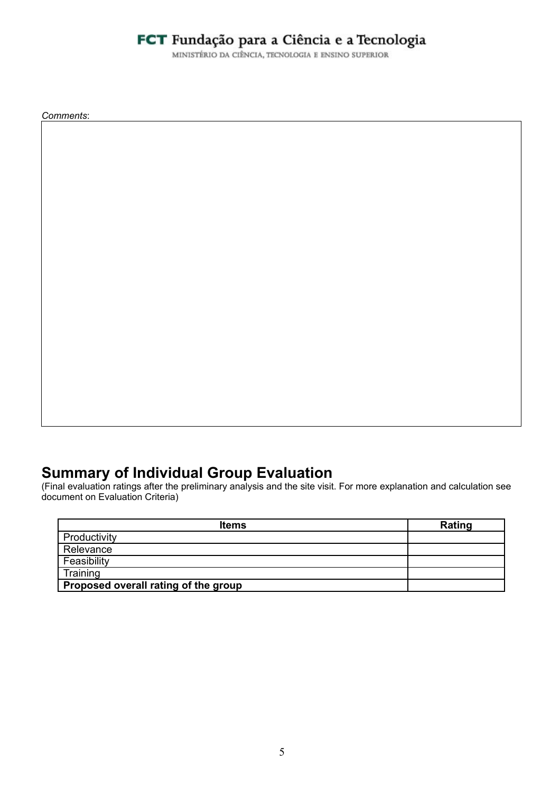MINISTÉRIO DA CIÊNCIA, TECNOLOGIA E ENSINO SUPERIOR

*Comments*:

### **Summary of Individual Group Evaluation**

(Final evaluation ratings after the preliminary analysis and the site visit. For more explanation and calculation see document on Evaluation Criteria)

| <b>Items</b>                         | Rating |
|--------------------------------------|--------|
| Productivity                         |        |
| Relevance                            |        |
| Feasibility                          |        |
| Training                             |        |
| Proposed overall rating of the group |        |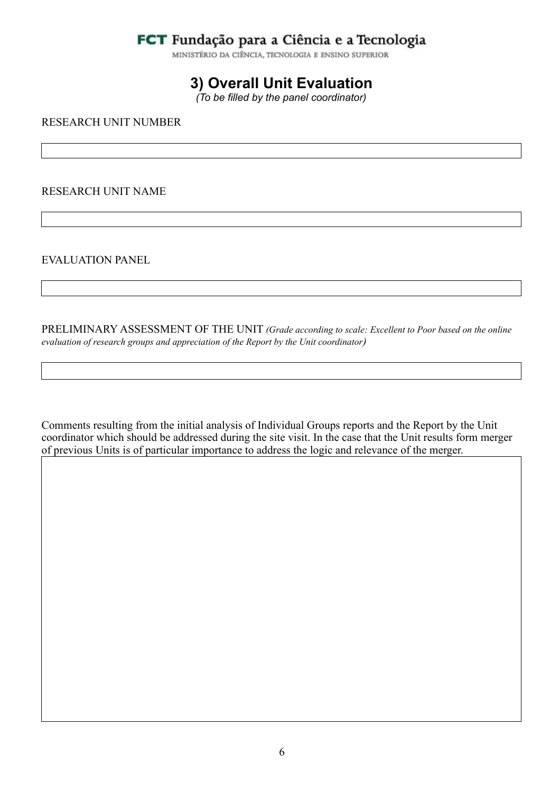MINISTÉRIO DA CIÊNCIA, TECNOLOGIA E ENSINO SUPERIOR

### **3) Overall Unit Evaluation**

*(To be filled by the panel coordinator)*

RESEARCH UNIT NUMBER

#### RESEARCH UNIT NAME

EVALUATION PANEL

PRELIMINARY ASSESSMENT OF THE UNIT *(Grade according to scale: Excellent to Poor based on the online evaluation of research groups and appreciation of the Report by the Unit coordinator)*

Comments resulting from the initial analysis of Individual Groups reports and the Report by the Unit coordinator which should be addressed during the site visit. In the case that the Unit results form merger of previous Units is of particular importance to address the logic and relevance of the merger.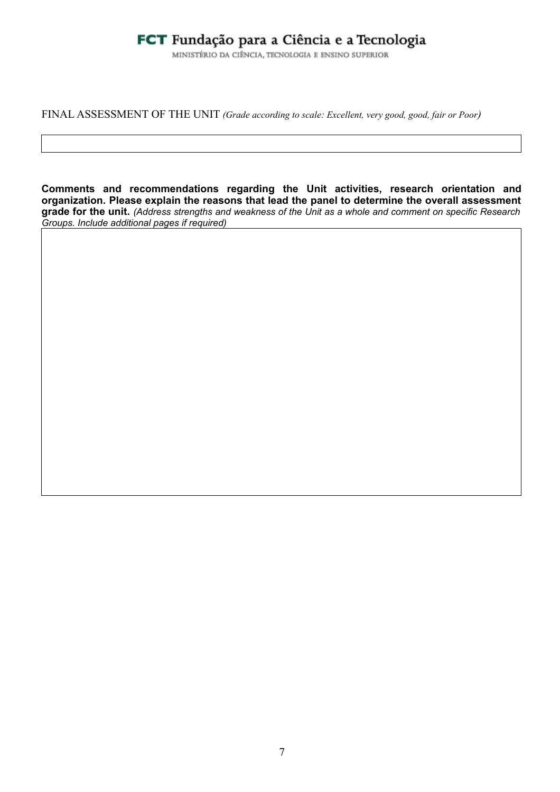MINISTÉRIO DA CIÊNCIA, TECNOLOGIA E ENSINO SUPERIOR

FINAL ASSESSMENT OF THE UNIT *(Grade according to scale: Excellent, very good, good, fair or Poor)*

**Comments and recommendations regarding the Unit activities, research orientation and organization. Please explain the reasons that lead the panel to determine the overall assessment grade for the unit.** *(Address strengths and weakness of the Unit as a whole and comment on specific Research Groups. Include additional pages if required)*